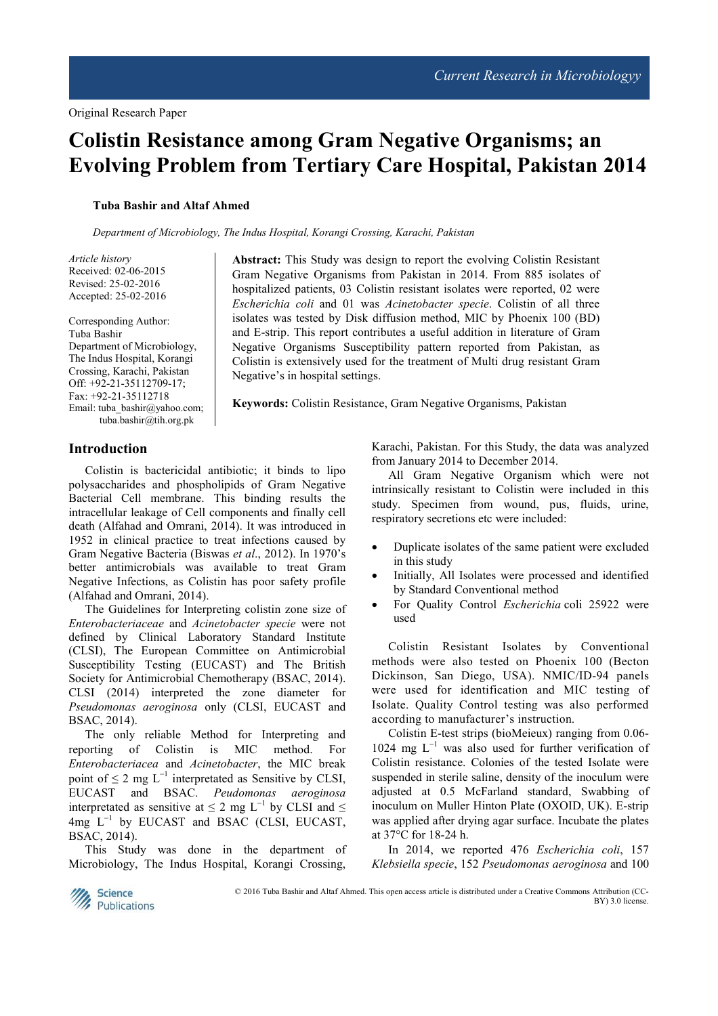# **Colistin Resistance among Gram Negative Organisms; an Evolving Problem from Tertiary Care Hospital, Pakistan 2014**

#### **Tuba Bashir and Altaf Ahmed**

*Department of Microbiology, The Indus Hospital, Korangi Crossing, Karachi, Pakistan*

*Article history*  Received: 02-06-2015 Revised: 25-02-2016 Accepted: 25-02-2016

Corresponding Author: Tuba Bashir Department of Microbiology, The Indus Hospital, Korangi Crossing, Karachi, Pakistan Off: +92-21-35112709-17; Fax: +92-21-35112718 Email: tuba\_bashir@yahoo.com; tuba.bashir@tih.org.pk

Gram Negative Organisms from Pakistan in 2014. From 885 isolates of hospitalized patients, 03 Colistin resistant isolates were reported, 02 were *Escherichia coli* and 01 was *Acinetobacter specie*. Colistin of all three isolates was tested by Disk diffusion method, MIC by Phoenix 100 (BD) and E-strip. This report contributes a useful addition in literature of Gram Negative Organisms Susceptibility pattern reported from Pakistan, as Colistin is extensively used for the treatment of Multi drug resistant Gram Negative's in hospital settings.

**Abstract:** This Study was design to report the evolving Colistin Resistant

**Keywords:** Colistin Resistance, Gram Negative Organisms, Pakistan

### **Introduction**

Colistin is bactericidal antibiotic; it binds to lipo polysaccharides and phospholipids of Gram Negative Bacterial Cell membrane. This binding results the intracellular leakage of Cell components and finally cell death (Alfahad and Omrani, 2014). It was introduced in 1952 in clinical practice to treat infections caused by Gram Negative Bacteria (Biswas *et al*., 2012). In 1970's better antimicrobials was available to treat Gram Negative Infections, as Colistin has poor safety profile (Alfahad and Omrani, 2014).

The Guidelines for Interpreting colistin zone size of *Enterobacteriaceae* and *Acinetobacter specie* were not defined by Clinical Laboratory Standard Institute (CLSI), The European Committee on Antimicrobial Susceptibility Testing (EUCAST) and The British Society for Antimicrobial Chemotherapy (BSAC, 2014). CLSI (2014) interpreted the zone diameter for *Pseudomonas aeroginosa* only (CLSI, EUCAST and BSAC, 2014).

The only reliable Method for Interpreting and reporting of Colistin is MIC method. For *Enterobacteriacea* and *Acinetobacter*, the MIC break point of  $\leq 2$  mg L<sup>-1</sup> interpretated as Sensitive by CLSI, EUCAST and BSAC. *Peudomonas aeroginosa*  interpretated as sensitive at  $\leq$  2 mg L<sup>-1</sup> by CLSI and  $\leq$ 4mg L<sup>−</sup><sup>1</sup> by EUCAST and BSAC (CLSI, EUCAST, BSAC, 2014).

This Study was done in the department of Microbiology, The Indus Hospital, Korangi Crossing,

Karachi, Pakistan. For this Study, the data was analyzed from January 2014 to December 2014.

All Gram Negative Organism which were not intrinsically resistant to Colistin were included in this study. Specimen from wound, pus, fluids, urine, respiratory secretions etc were included:

- Duplicate isolates of the same patient were excluded in this study
- Initially, All Isolates were processed and identified by Standard Conventional method
- For Quality Control *Escherichia* coli 25922 were used

Colistin Resistant Isolates by Conventional methods were also tested on Phoenix 100 (Becton Dickinson, San Diego, USA). NMIC/ID-94 panels were used for identification and MIC testing of Isolate. Quality Control testing was also performed according to manufacturer's instruction.

Colistin E-test strips (bioMeieux) ranging from 0.06- 1024 mg L<sup>−</sup><sup>1</sup> was also used for further verification of Colistin resistance. Colonies of the tested Isolate were suspended in sterile saline, density of the inoculum were adjusted at 0.5 McFarland standard, Swabbing of inoculum on Muller Hinton Plate (OXOID, UK). E-strip was applied after drying agar surface. Incubate the plates at 37°C for 18-24 h.

In 2014, we reported 476 *Escherichia coli*, 157 *Klebsiella specie*, 152 *Pseudomonas aeroginosa* and 100



© 2016 Tuba Bashir and Altaf Ahmed. This open access article is distributed under a Creative Commons Attribution (CC-BY) 3.0 license.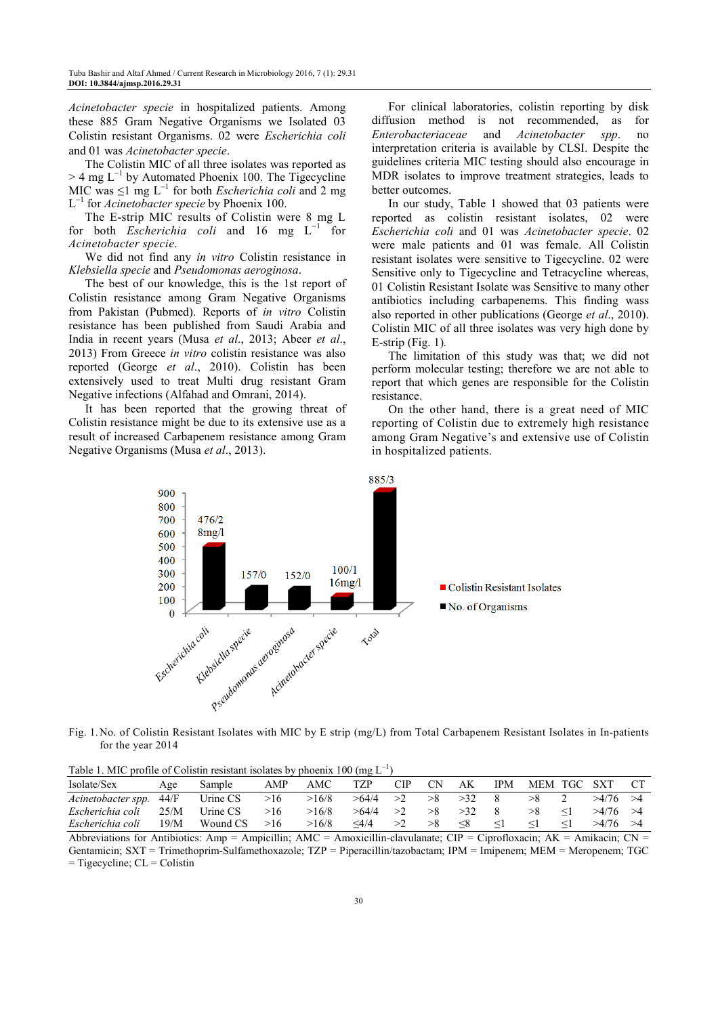*Acinetobacter specie* in hospitalized patients. Among these 885 Gram Negative Organisms we Isolated 03 Colistin resistant Organisms. 02 were *Escherichia coli*  and 01 was *Acinetobacter specie*.

The Colistin MIC of all three isolates was reported as  $>$  4 mg L<sup>-1</sup> by Automated Phoenix 100. The Tigecycline MIC was ≤1 mg L<sup>−</sup><sup>1</sup> for both *Escherichia coli* and 2 mg L −1 for *Acinetobacter specie* by Phoenix 100.

The E-strip MIC results of Colistin were 8 mg L for both *Escherichia coli* and 16 mg L<sup>−</sup><sup>1</sup> for *Acinetobacter specie*.

We did not find any *in vitro* Colistin resistance in *Klebsiella specie* and *Pseudomonas aeroginosa*.

The best of our knowledge, this is the 1st report of Colistin resistance among Gram Negative Organisms from Pakistan (Pubmed). Reports of *in vitro* Colistin resistance has been published from Saudi Arabia and India in recent years (Musa *et al*., 2013; Abeer *et al*., 2013) From Greece *in vitro* colistin resistance was also reported (George *et al*., 2010). Colistin has been extensively used to treat Multi drug resistant Gram Negative infections (Alfahad and Omrani, 2014).

It has been reported that the growing threat of Colistin resistance might be due to its extensive use as a result of increased Carbapenem resistance among Gram Negative Organisms (Musa *et al*., 2013).

For clinical laboratories, colistin reporting by disk diffusion method is not recommended, as for *Enterobacteriaceae* and *Acinetobacter spp*. no interpretation criteria is available by CLSI. Despite the guidelines criteria MIC testing should also encourage in MDR isolates to improve treatment strategies, leads to better outcomes.

In our study, Table 1 showed that 03 patients were reported as colistin resistant isolates, 02 were *Escherichia coli* and 01 was *Acinetobacter specie*. 02 were male patients and 01 was female. All Colistin resistant isolates were sensitive to Tigecycline. 02 were Sensitive only to Tigecycline and Tetracycline whereas, 01 Colistin Resistant Isolate was Sensitive to many other antibiotics including carbapenems. This finding wass also reported in other publications (George *et al*., 2010). Colistin MIC of all three isolates was very high done by E-strip (Fig. 1)*.*

The limitation of this study was that; we did not perform molecular testing; therefore we are not able to report that which genes are responsible for the Colistin resistance.

On the other hand, there is a great need of MIC reporting of Colistin due to extremely high resistance among Gram Negative's and extensive use of Colistin in hospitalized patients.



Fig. 1. No. of Colistin Resistant Isolates with MIC by E strip (mg/L) from Total Carbapenem Resistant Isolates in In-patients for the year 2014

| Isolate/Sex        | Age  | Sample   | AMP | AMC   | TZP     | <b>CIP</b> | СN | AK  | IPM | MEM TGC | -SXT  |  |
|--------------------|------|----------|-----|-------|---------|------------|----|-----|-----|---------|-------|--|
| Acinetobacter spp. | 44/F | Urine CS | >16 | >16/8 | >64/4   | >2         |    | >32 |     |         | >4/76 |  |
| Escherichia coli   | 25/M | Urine CS | >16 | >16/8 | >64/4   | >2         |    |     |     |         | >4/76 |  |
| Escherichia coli   | 19/M | Wound CS | >16 | >16/8 | $<$ 4/4 |            |    |     |     |         | >4/76 |  |

Abbreviations for Antibiotics: Amp = Ampicillin; AMC = Amoxicillin-clavulanate; CIP = Ciprofloxacin; AK = Amikacin; CN = Gentamicin; SXT = Trimethoprim-Sulfamethoxazole; TZP = Piperacillin/tazobactam; IPM = Imipenem; MEM = Meropenem; TGC  $=$  Tigecycline; CL  $=$  Colistin